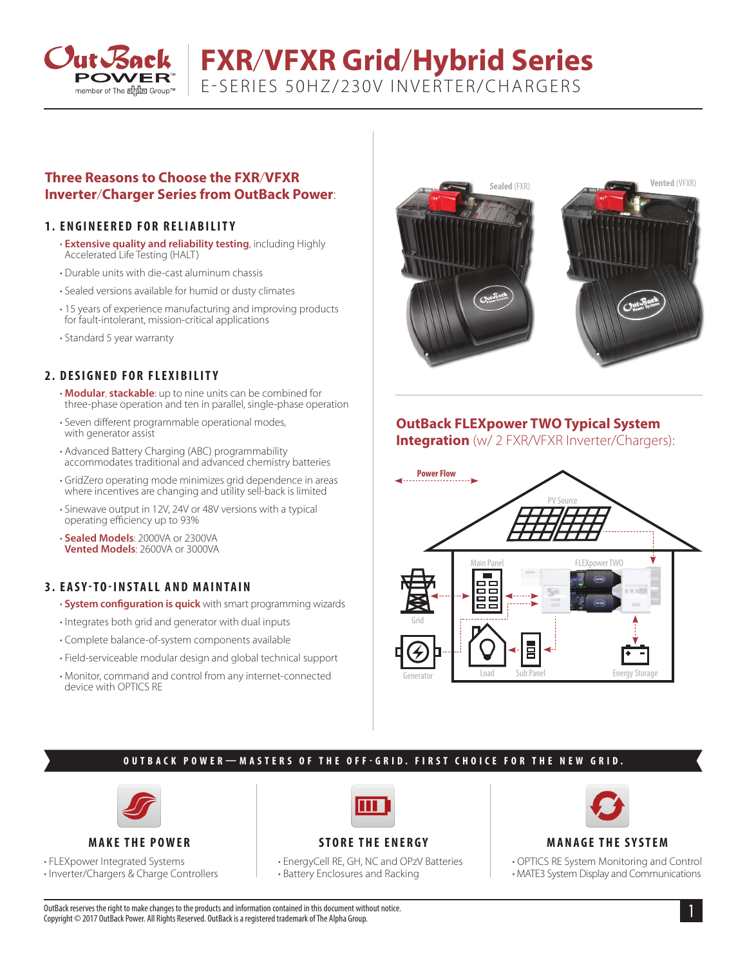

# **FXR**/**VFXR Grid**/**Hybrid Series**

E-SERIES 50HZ/230V INVERTER/CHARGERS

# **Three Reasons to Choose the FXR**/**VFXR Inverter**/**Charger Series from OutBack Power**:

### **1. ENGINEERED FOR RELIABILITY**

- **Extensive quality and reliability testing**, including Highly Accelerated Life Testing (HALT)
- Durable units with die-cast aluminum chassis
- Sealed versions available for humid or dusty climates
- 15 years of experience manufacturing and improving products for fault-intolerant, mission-critical applications
- Standard 5 year warranty

# **2. DESIGNED FOR FLEXIBILITY**

- **Modular**, **stackable**: up to nine units can be combined for three-phase operation and ten in parallel, single-phase operation
- Seven different programmable operational modes, with generator assist
- Advanced Battery Charging (ABC) programmability accommodates traditional and advanced chemistry batteries
- GridZero operating mode minimizes grid dependence in areas where incentives are changing and utility sell-back is limited
- Sinewave output in 12V, 24V or 48V versions with a typical operating efficiency up to 93%
- **Sealed Models**: 2000VA or 2300VA **Vented Models**: 2600VA or 3000VA

### **3. EASY-TO-INSTALL AND MAINTAIN**

- **System configuration is quick** with smart programming wizards
- Integrates both grid and generator with dual inputs
- Complete balance-of-system components available
- Field-serviceable modular design and global technical support
- Monitor, command and control from any internet-connected device with OPTICS RE



# **OutBack FLEXpower TWO Typical System**

**Integration** (w/ 2 FXR/VFXR Inverter/Chargers):



# **OUTBACK POWER—MASTERS OF THE OFF-GRID. FIRST CHOICE FOR THE NEW GRID.**



**MAKE THE POWER**

• FLEXpower Integrated Systems

• Inverter/Chargers & Charge Controllers



# **STORE THE ENERGY**

• EnergyCell RE, GH, NC and OPzV Batteries • Battery Enclosures and Racking



### **MANAGE THE SYSTEM**

• OPTICS RE System Monitoring and Control • MATE3 System Display and Communications

1 OutBack reserves the right to make changes to the products and information contained in this document without notice. Copyright © 2017 OutBack Power. All Rights Reserved. OutBack is a registered trademark of The Alpha Group.